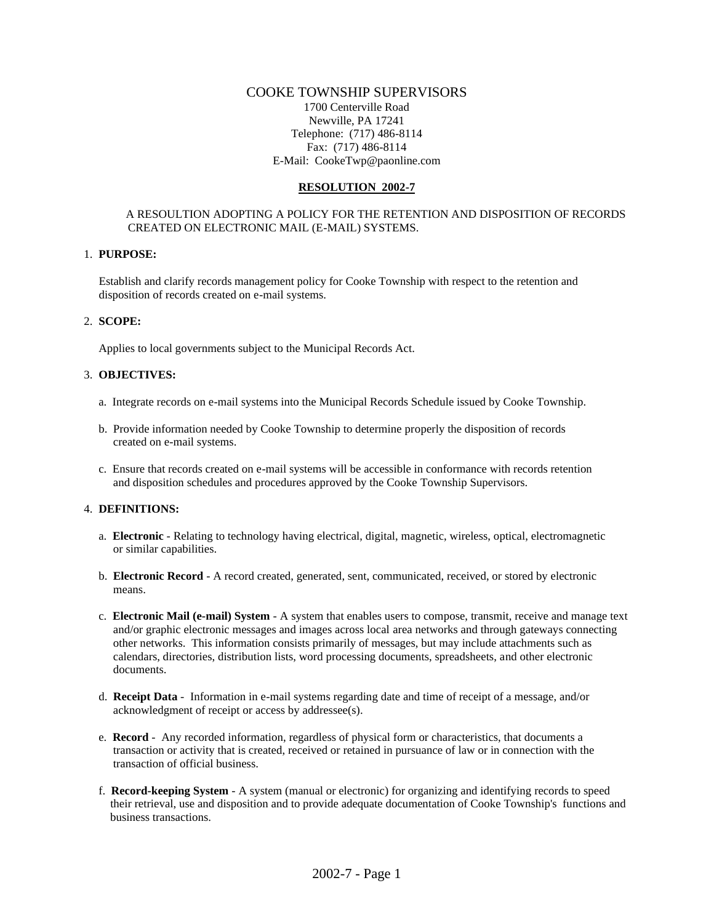### COOKE TOWNSHIP SUPERVISORS

1700 Centerville Road Newville, PA 17241 Telephone: (717) 486-8114 Fax: (717) 486-8114 E-Mail: CookeTwp@paonline.com

#### **RESOLUTION 2002-7**

### A RESOULTION ADOPTING A POLICY FOR THE RETENTION AND DISPOSITION OF RECORDS CREATED ON ELECTRONIC MAIL (E-MAIL) SYSTEMS.

#### 1. **PURPOSE:**

Establish and clarify records management policy for Cooke Township with respect to the retention and disposition of records created on e-mail systems.

### 2. **SCOPE:**

Applies to local governments subject to the Municipal Records Act.

### 3. **OBJECTIVES:**

- a. Integrate records on e-mail systems into the Municipal Records Schedule issued by Cooke Township.
- b. Provide information needed by Cooke Township to determine properly the disposition of records created on e-mail systems.
- c. Ensure that records created on e-mail systems will be accessible in conformance with records retention and disposition schedules and procedures approved by the Cooke Township Supervisors.

### 4. **DEFINITIONS:**

- a. **Electronic**  Relating to technology having electrical, digital, magnetic, wireless, optical, electromagnetic or similar capabilities.
- b. **Electronic Record** A record created, generated, sent, communicated, received, or stored by electronic means.
- c. **Electronic Mail (e-mail) System** A system that enables users to compose, transmit, receive and manage text and/or graphic electronic messages and images across local area networks and through gateways connecting other networks. This information consists primarily of messages, but may include attachments such as calendars, directories, distribution lists, word processing documents, spreadsheets, and other electronic documents.
- d. **Receipt Data** Information in e-mail systems regarding date and time of receipt of a message, and/or acknowledgment of receipt or access by addressee(s).
- e. **Record** Any recorded information, regardless of physical form or characteristics, that documents a transaction or activity that is created, received or retained in pursuance of law or in connection with the transaction of official business.
- f. **Record-keeping System** A system (manual or electronic) for organizing and identifying records to speed their retrieval, use and disposition and to provide adequate documentation of Cooke Township's functions and business transactions.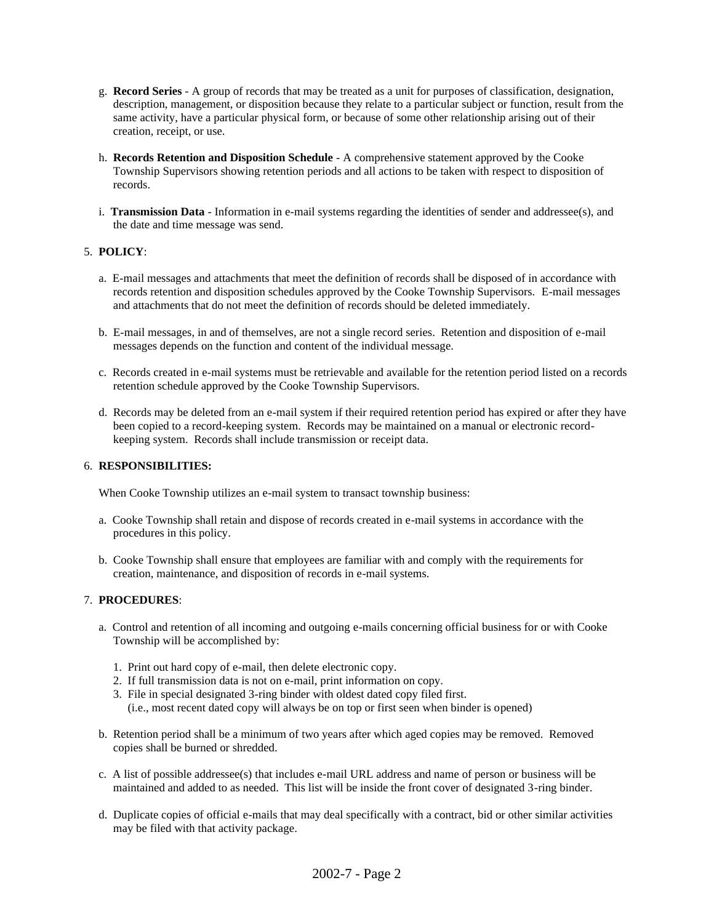- g. **Record Series** A group of records that may be treated as a unit for purposes of classification, designation, description, management, or disposition because they relate to a particular subject or function, result from the same activity, have a particular physical form, or because of some other relationship arising out of their creation, receipt, or use.
- h. **Records Retention and Disposition Schedule** A comprehensive statement approved by the Cooke Township Supervisors showing retention periods and all actions to be taken with respect to disposition of records.
- i. **Transmission Data** Information in e-mail systems regarding the identities of sender and addressee(s), and the date and time message was send.

## 5. **POLICY**:

- a. E-mail messages and attachments that meet the definition of records shall be disposed of in accordance with records retention and disposition schedules approved by the Cooke Township Supervisors. E-mail messages and attachments that do not meet the definition of records should be deleted immediately.
- b. E-mail messages, in and of themselves, are not a single record series. Retention and disposition of e-mail messages depends on the function and content of the individual message.
- c. Records created in e-mail systems must be retrievable and available for the retention period listed on a records retention schedule approved by the Cooke Township Supervisors.
- d. Records may be deleted from an e-mail system if their required retention period has expired or after they have been copied to a record-keeping system. Records may be maintained on a manual or electronic record keeping system. Records shall include transmission or receipt data.

### 6. **RESPONSIBILITIES:**

When Cooke Township utilizes an e-mail system to transact township business:

- a. Cooke Township shall retain and dispose of records created in e-mail systems in accordance with the procedures in this policy.
- b. Cooke Township shall ensure that employees are familiar with and comply with the requirements for creation, maintenance, and disposition of records in e-mail systems.

## 7. **PROCEDURES**:

- a. Control and retention of all incoming and outgoing e-mails concerning official business for or with Cooke Township will be accomplished by:
	- 1. Print out hard copy of e-mail, then delete electronic copy.
	- 2. If full transmission data is not on e-mail, print information on copy.
	- 3. File in special designated 3-ring binder with oldest dated copy filed first.
	- (i.e., most recent dated copy will always be on top or first seen when binder is opened)
- b. Retention period shall be a minimum of two years after which aged copies may be removed. Removed copies shall be burned or shredded.
- c. A list of possible addressee(s) that includes e-mail URL address and name of person or business will be maintained and added to as needed. This list will be inside the front cover of designated 3-ring binder.
- d. Duplicate copies of official e-mails that may deal specifically with a contract, bid or other similar activities may be filed with that activity package.